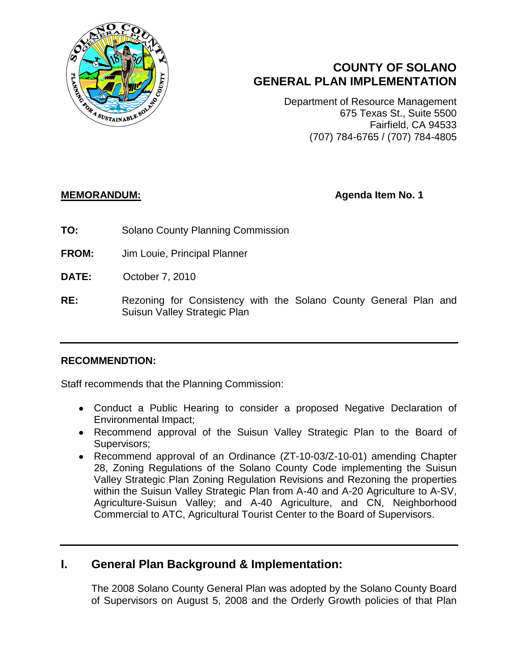

# **COUNTY OF SOLANO GENERAL PLAN IMPLEMENTATION**

Department of Resource Management 675 Texas St., Suite 5500 Fairfield, CA 94533 (707) 784-6765 / (707) 784-4805

## **MEMORANDUM: Agenda Item No. 1**

- **TO:** Solano County Planning Commission
- **FROM:** Jim Louie, Principal Planner
- **DATE:** October 7, 2010
- **RE:** Rezoning for Consistency with the Solano County General Plan and Suisun Valley Strategic Plan

### **RECOMMENDTION:**

Staff recommends that the Planning Commission:

- Conduct a Public Hearing to consider a proposed Negative Declaration of Environmental Impact;
- Recommend approval of the Suisun Valley Strategic Plan to the Board of Supervisors;
- Recommend approval of an Ordinance (ZT-10-03/Z-10-01) amending Chapter 28, Zoning Regulations of the Solano County Code implementing the Suisun Valley Strategic Plan Zoning Regulation Revisions and Rezoning the properties within the Suisun Valley Strategic Plan from A-40 and A-20 Agriculture to A-SV, Agriculture-Suisun Valley; and A-40 Agriculture, and CN, Neighborhood Commercial to ATC, Agricultural Tourist Center to the Board of Supervisors.

## **I. General Plan Background & Implementation:**

The 2008 Solano County General Plan was adopted by the Solano County Board of Supervisors on August 5, 2008 and the Orderly Growth policies of that Plan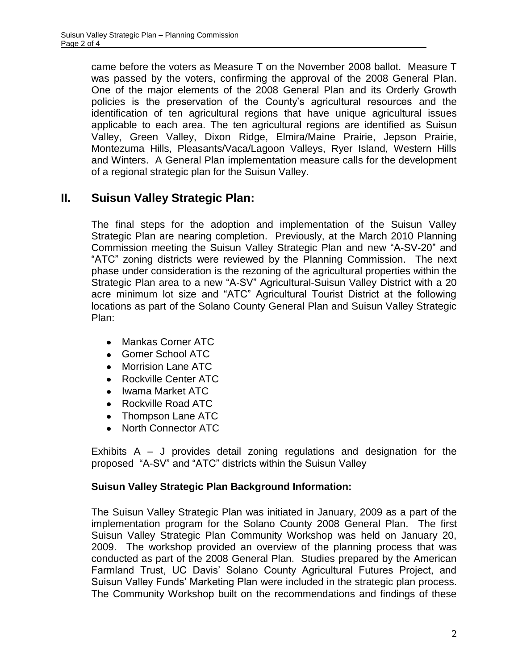came before the voters as Measure T on the November 2008 ballot. Measure T was passed by the voters, confirming the approval of the 2008 General Plan. One of the major elements of the 2008 General Plan and its Orderly Growth policies is the preservation of the County's agricultural resources and the identification of ten agricultural regions that have unique agricultural issues applicable to each area. The ten agricultural regions are identified as Suisun Valley, Green Valley, Dixon Ridge, Elmira/Maine Prairie, Jepson Prairie, Montezuma Hills, Pleasants/Vaca/Lagoon Valleys, Ryer Island, Western Hills and Winters. A General Plan implementation measure calls for the development of a regional strategic plan for the Suisun Valley.

# **II. Suisun Valley Strategic Plan:**

The final steps for the adoption and implementation of the Suisun Valley Strategic Plan are nearing completion. Previously, at the March 2010 Planning Commission meeting the Suisun Valley Strategic Plan and new "A-SV-20" and "ATC" zoning districts were reviewed by the Planning Commission. The next phase under consideration is the rezoning of the agricultural properties within the Strategic Plan area to a new "A-SV" Agricultural-Suisun Valley District with a 20 acre minimum lot size and "ATC" Agricultural Tourist District at the following locations as part of the Solano County General Plan and Suisun Valley Strategic Plan:

- Mankas Corner ATC  $\bullet$
- Gomer School ATC
- Morrision Lane ATC  $\bullet$
- Rockville Center ATC  $\bullet$
- Iwama Market ATC
- Rockville Road ATC
- Thompson Lane ATC
- North Connector ATC  $\bullet$

Exhibits A – J provides detail zoning regulations and designation for the proposed "A-SV" and "ATC" districts within the Suisun Valley

## **Suisun Valley Strategic Plan Background Information:**

The Suisun Valley Strategic Plan was initiated in January, 2009 as a part of the implementation program for the Solano County 2008 General Plan. The first Suisun Valley Strategic Plan Community Workshop was held on January 20, 2009. The workshop provided an overview of the planning process that was conducted as part of the 2008 General Plan. Studies prepared by the American Farmland Trust, UC Davis' Solano County Agricultural Futures Project, and Suisun Valley Funds' Marketing Plan were included in the strategic plan process. The Community Workshop built on the recommendations and findings of these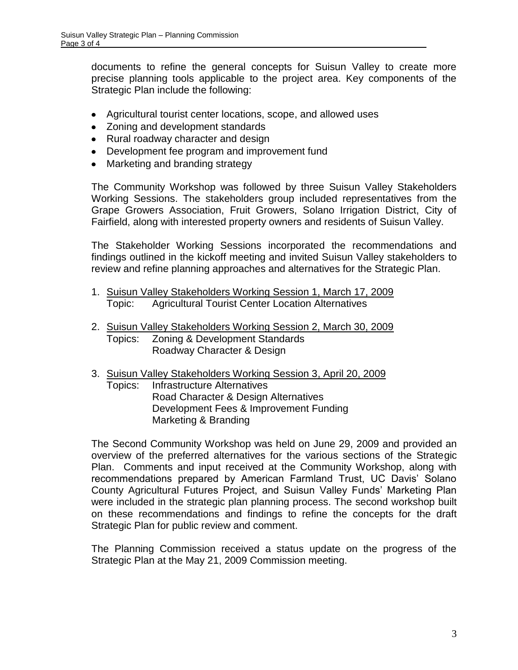documents to refine the general concepts for Suisun Valley to create more precise planning tools applicable to the project area. Key components of the Strategic Plan include the following:

- Agricultural tourist center locations, scope, and allowed uses
- Zoning and development standards
- Rural roadway character and design
- Development fee program and improvement fund
- Marketing and branding strategy

The Community Workshop was followed by three Suisun Valley Stakeholders Working Sessions. The stakeholders group included representatives from the Grape Growers Association, Fruit Growers, Solano Irrigation District, City of Fairfield, along with interested property owners and residents of Suisun Valley.

The Stakeholder Working Sessions incorporated the recommendations and findings outlined in the kickoff meeting and invited Suisun Valley stakeholders to review and refine planning approaches and alternatives for the Strategic Plan.

- 1. Suisun Valley Stakeholders Working Session 1, March 17, 2009 Topic: Agricultural Tourist Center Location Alternatives
- 2. Suisun Valley Stakeholders Working Session 2, March 30, 2009 Topics: Zoning & Development Standards Roadway Character & Design
- 3. Suisun Valley Stakeholders Working Session 3, April 20, 2009
	- Topics: Infrastructure Alternatives Road Character & Design Alternatives Development Fees & Improvement Funding Marketing & Branding

The Second Community Workshop was held on June 29, 2009 and provided an overview of the preferred alternatives for the various sections of the Strategic Plan. Comments and input received at the Community Workshop, along with recommendations prepared by American Farmland Trust, UC Davis' Solano County Agricultural Futures Project, and Suisun Valley Funds' Marketing Plan were included in the strategic plan planning process. The second workshop built on these recommendations and findings to refine the concepts for the draft Strategic Plan for public review and comment.

The Planning Commission received a status update on the progress of the Strategic Plan at the May 21, 2009 Commission meeting.